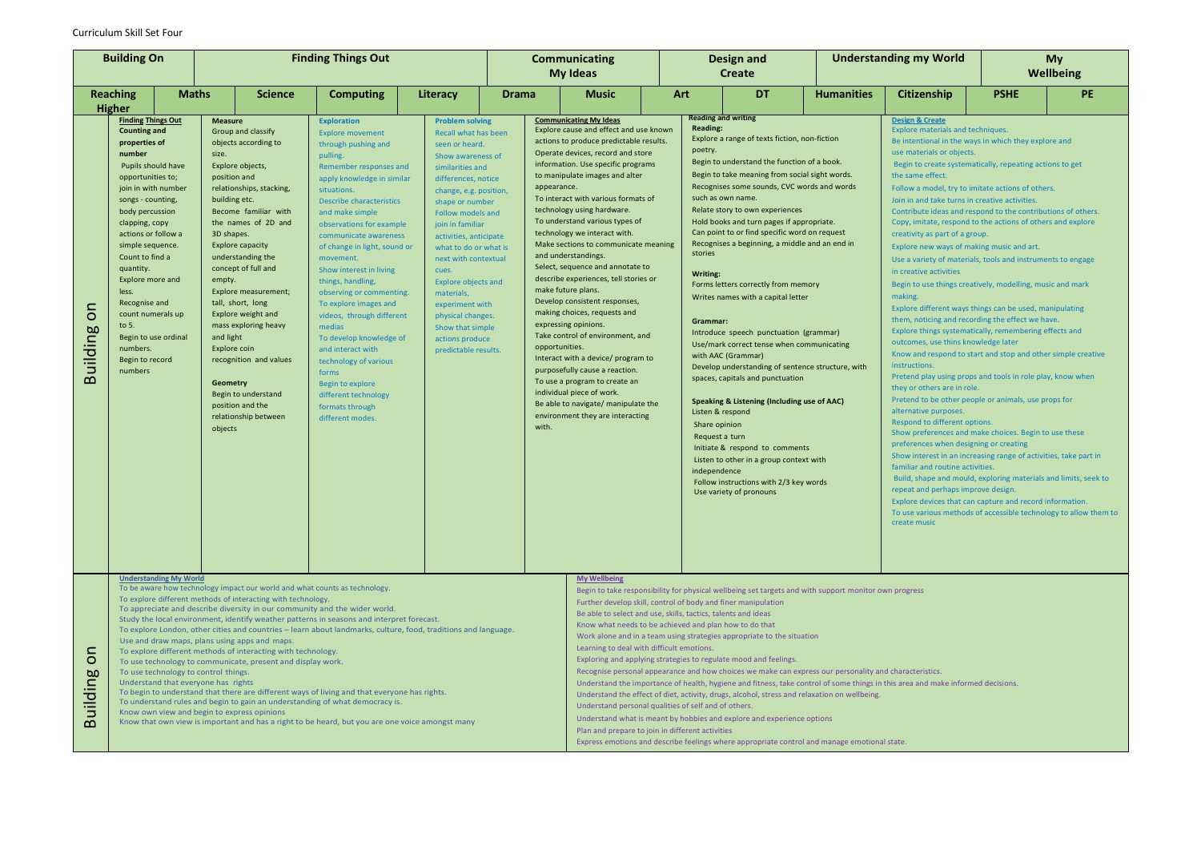# Curriculum Skill Set Four

| <b>Building On</b>                   |                                                                                                                                                                                                                                                                                                                                                                                                                                                                                                                                                                                                                                                                                                                                                                                                                                                                                                                                                                                                                                                                           | <b>Finding Things Out</b> |                                                                                                                                                                                                                                                                                                                                                                                                                                                                                                                                                  |                |                                                                                                                                                                                                                                                                                                                                                                                                                                                                                                                                                                                                                                                                                                                                                                                                                                                                                                                                                                                                                                                                                            |          | <b>Communicating</b><br><b>My Ideas</b> |                                                                                                                                                                                                                                                                                                                                                                                                                                                                                                                                                                                                                                                                                                                                                                                                                                                                                                                                                                                                                                                        | <b>Design and</b><br><b>Create</b> |                                                                                                                                                                                                                                                                                                                                                                                                                                                                                                                                                                                                                                                                                                                                                                                                                                                                                                                                                                                                                                                                 | <b>Understanding my World</b> |                   | <b>My</b><br><b>Wellbeing</b>                                                                                                                                                                                                                                                                                                                                                                                                                                                                                                                                                                                                                                                                                                                                                                                                                                                                                                                                                                                                                                                                                                                                                                                                                                                                                                                                                                                                                                                                                                                                                                                                                                                                                  |             |  |           |
|--------------------------------------|---------------------------------------------------------------------------------------------------------------------------------------------------------------------------------------------------------------------------------------------------------------------------------------------------------------------------------------------------------------------------------------------------------------------------------------------------------------------------------------------------------------------------------------------------------------------------------------------------------------------------------------------------------------------------------------------------------------------------------------------------------------------------------------------------------------------------------------------------------------------------------------------------------------------------------------------------------------------------------------------------------------------------------------------------------------------------|---------------------------|--------------------------------------------------------------------------------------------------------------------------------------------------------------------------------------------------------------------------------------------------------------------------------------------------------------------------------------------------------------------------------------------------------------------------------------------------------------------------------------------------------------------------------------------------|----------------|--------------------------------------------------------------------------------------------------------------------------------------------------------------------------------------------------------------------------------------------------------------------------------------------------------------------------------------------------------------------------------------------------------------------------------------------------------------------------------------------------------------------------------------------------------------------------------------------------------------------------------------------------------------------------------------------------------------------------------------------------------------------------------------------------------------------------------------------------------------------------------------------------------------------------------------------------------------------------------------------------------------------------------------------------------------------------------------------|----------|-----------------------------------------|--------------------------------------------------------------------------------------------------------------------------------------------------------------------------------------------------------------------------------------------------------------------------------------------------------------------------------------------------------------------------------------------------------------------------------------------------------------------------------------------------------------------------------------------------------------------------------------------------------------------------------------------------------------------------------------------------------------------------------------------------------------------------------------------------------------------------------------------------------------------------------------------------------------------------------------------------------------------------------------------------------------------------------------------------------|------------------------------------|-----------------------------------------------------------------------------------------------------------------------------------------------------------------------------------------------------------------------------------------------------------------------------------------------------------------------------------------------------------------------------------------------------------------------------------------------------------------------------------------------------------------------------------------------------------------------------------------------------------------------------------------------------------------------------------------------------------------------------------------------------------------------------------------------------------------------------------------------------------------------------------------------------------------------------------------------------------------------------------------------------------------------------------------------------------------|-------------------------------|-------------------|----------------------------------------------------------------------------------------------------------------------------------------------------------------------------------------------------------------------------------------------------------------------------------------------------------------------------------------------------------------------------------------------------------------------------------------------------------------------------------------------------------------------------------------------------------------------------------------------------------------------------------------------------------------------------------------------------------------------------------------------------------------------------------------------------------------------------------------------------------------------------------------------------------------------------------------------------------------------------------------------------------------------------------------------------------------------------------------------------------------------------------------------------------------------------------------------------------------------------------------------------------------------------------------------------------------------------------------------------------------------------------------------------------------------------------------------------------------------------------------------------------------------------------------------------------------------------------------------------------------------------------------------------------------------------------------------------------------|-------------|--|-----------|
|                                      | <b>Reaching</b>                                                                                                                                                                                                                                                                                                                                                                                                                                                                                                                                                                                                                                                                                                                                                                                                                                                                                                                                                                                                                                                           | <b>Maths</b>              |                                                                                                                                                                                                                                                                                                                                                                                                                                                                                                                                                  | <b>Science</b> | <b>Computing</b>                                                                                                                                                                                                                                                                                                                                                                                                                                                                                                                                                                                                                                                                                                                                                                                                                                                                                                                                                                                                                                                                           | Literacy | <b>Drama</b>                            | <b>Music</b>                                                                                                                                                                                                                                                                                                                                                                                                                                                                                                                                                                                                                                                                                                                                                                                                                                                                                                                                                                                                                                           |                                    | <b>DT</b><br>Art                                                                                                                                                                                                                                                                                                                                                                                                                                                                                                                                                                                                                                                                                                                                                                                                                                                                                                                                                                                                                                                |                               | <b>Humanities</b> | Citizenship                                                                                                                                                                                                                                                                                                                                                                                                                                                                                                                                                                                                                                                                                                                                                                                                                                                                                                                                                                                                                                                                                                                                                                                                                                                                                                                                                                                                                                                                                                                                                                                                                                                                                                    | <b>PSHE</b> |  | <b>PE</b> |
| S<br><b>Building</b>                 | <b>Higher</b><br><b>Finding Things Out</b><br><b>Counting and</b><br>properties of<br>number<br>Pupils should have<br>opportunities to;<br>join in with number<br>songs - counting,<br>body percussion<br>clapping, copy<br>actions or follow a<br>simple sequence.<br>Count to find a<br>quantity.<br>Explore more and<br>less.<br>Recognise and<br>count numerals up<br>to $5.$<br>Begin to use ordinal<br>numbers.<br>Begin to record<br>numbers                                                                                                                                                                                                                                                                                                                                                                                                                                                                                                                                                                                                                       |                           | <b>Measure</b><br>Group and classify<br>objects according to<br>size.<br>Explore objects,<br>position and<br>relationships, stacking,<br>building etc.<br>Become familiar with<br>the names of 2D and<br>3D shapes.<br>Explore capacity<br>understanding the<br>concept of full and<br>empty.<br>Explore measurement;<br>tall, short, long<br>Explore weight and<br>mass exploring heavy<br>and light<br>Explore coin<br>recognition and values<br><b>Geometry</b><br>Begin to understand<br>position and the<br>relationship between<br>objects |                | <b>Exploration</b><br><b>Problem solving</b><br><b>Explore movement</b><br>Recall what has been<br>through pushing and<br>seen or heard.<br>pulling.<br>Show awareness of<br>Remember responses and<br>similarities and<br>apply knowledge in similar<br>differences, notice<br>situations.<br>change, e.g. position,<br>Describe characteristics<br>shape or number<br>and make simple<br>Follow models and<br>observations for example<br>join in familiar<br>communicate awareness<br>activities, anticipate<br>of change in light, sound or<br>what to do or what is<br>next with contextual<br>movement.<br>Show interest in living<br>cues.<br>things, handling,<br><b>Explore objects and</b><br>observing or commenting.<br>materials,<br>To explore images and<br>experiment with<br>videos, through different<br>physical changes.<br>medias<br>Show that simple<br>To develop knowledge of<br>actions produce<br>and interact with<br>predictable results.<br>technology of various<br>forms<br>Begin to explore<br>different technology<br>formats through<br>different modes. |          |                                         | <b>Communicating My Ideas</b><br>Explore cause and effect and use known<br>actions to produce predictable results.<br>Operate devices, record and store<br>information. Use specific programs<br>to manipulate images and alter<br>appearance.<br>To interact with various formats of<br>technology using hardware.<br>To understand various types of<br>technology we interact with.<br>Make sections to communicate meaning<br>and understandings.<br>Select, sequence and annotate to<br>describe experiences, tell stories or<br>make future plans.<br>Develop consistent responses,<br>making choices, requests and<br>expressing opinions.<br>Take control of environment, and<br>opportunities.<br>Interact with a device/ program to<br>purposefully cause a reaction.<br>To use a program to create an<br>individual piece of work.<br>Be able to navigate/ manipulate the<br>environment they are interacting<br>with.                                                                                                                       |                                    | <b>Reading and writing</b><br><b>Reading:</b><br>Explore a range of texts fiction, non-fiction<br>poetry.<br>Begin to understand the function of a book.<br>Begin to take meaning from social sight words.<br>Recognises some sounds, CVC words and words<br>such as own name.<br>Relate story to own experiences<br>Hold books and turn pages if appropriate.<br>Can point to or find specific word on request<br>Recognises a beginning, a middle and an end in<br>stories<br>Writing:<br>Forms letters correctly from memory<br>Writes names with a capital letter<br>Grammar:<br>Introduce speech punctuation (grammar)<br>Use/mark correct tense when communicating<br>with AAC (Grammar)<br>Develop understanding of sentence structure, with<br>spaces, capitals and punctuation<br>Speaking & Listening (Including use of AAC)<br>Listen & respond<br>Share opinion<br>Request a turn<br>Initiate & respond to comments<br>Listen to other in a group context with<br>independence<br>Follow instructions with 2/3 key words<br>Use variety of pronouns |                               |                   | <b>Design &amp; Create</b><br>Explore materials and techniques.<br>Be intentional in the ways in which they explore and<br>use materials or objects.<br>Begin to create systematically, repeating actions to get<br>the same effect.<br>Follow a model, try to imitate actions of others.<br>Join in and take turns in creative activities.<br>Contribute ideas and respond to the contributions of others.<br>Copy, imitate, respond to the actions of others and explore<br>creativity as part of a group.<br>Explore new ways of making music and art.<br>Use a variety of materials, tools and instruments to engage<br>in creative activities<br>Begin to use things creatively, modelling, music and mark<br>making.<br>Explore different ways things can be used, manipulating<br>them, noticing and recording the effect we have.<br>Explore things systematically, remembering effects and<br>outcomes, use thins knowledge later<br>Know and respond to start and stop and other simple creative<br>instructions.<br>Pretend play using props and tools in role play, know when<br>they or others are in role.<br>Pretend to be other people or animals, use props for<br>alternative purposes.<br>Respond to different options.<br>Show preferences and make choices. Begin to use these<br>preferences when designing or creating<br>Show interest in an increasing range of activities, take part in<br>familiar and routine activities.<br>Build, shape and mould, exploring materials and limits, seek to<br>repeat and perhaps improve design.<br>Explore devices that can capture and record information.<br>To use various methods of accessible technology to allow them to<br>create music |             |  |           |
| $\subset$<br>$\circ$<br>aniplin<br>മ | <b>Understanding My World</b><br>To be aware how technology impact our world and what counts as technology.<br>To explore different methods of interacting with technology.<br>To appreciate and describe diversity in our community and the wider world.<br>Study the local environment, identify weather patterns in seasons and interpret forecast.<br>To explore London, other cities and countries - learn about landmarks, culture, food, traditions and language.<br>Use and draw maps, plans using apps and maps.<br>To explore different methods of interacting with technology.<br>To use technology to communicate, present and display work.<br>To use technology to control things.<br>Understand that everyone has rights<br>To begin to understand that there are different ways of living and that everyone has rights.<br>To understand rules and begin to gain an understanding of what democracy is.<br>Know own view and begin to express opinions<br>Know that own view is important and has a right to be heard, but you are one voice amongst many |                           |                                                                                                                                                                                                                                                                                                                                                                                                                                                                                                                                                  |                |                                                                                                                                                                                                                                                                                                                                                                                                                                                                                                                                                                                                                                                                                                                                                                                                                                                                                                                                                                                                                                                                                            |          |                                         | <b>My Wellbeing</b><br>Begin to take responsibility for physical wellbeing set targets and with support monitor own progress<br>Further develop skill, control of body and finer manipulation<br>Be able to select and use, skills, tactics, talents and ideas<br>Know what needs to be achieved and plan how to do that<br>Work alone and in a team using strategies appropriate to the situation<br>Learning to deal with difficult emotions.<br>Exploring and applying strategies to regulate mood and feelings.<br>Recognise personal appearance and how choices we make can express our personality and characteristics.<br>Understand the importance of health, hygiene and fitness, take control of some things in this area and make informed decisions.<br>Understand the effect of diet, activity, drugs, alcohol, stress and relaxation on wellbeing.<br>Understand personal qualities of self and of others.<br>Understand what is meant by hobbies and explore and experience options<br>Plan and prepare to join in different activities |                                    |                                                                                                                                                                                                                                                                                                                                                                                                                                                                                                                                                                                                                                                                                                                                                                                                                                                                                                                                                                                                                                                                 |                               |                   |                                                                                                                                                                                                                                                                                                                                                                                                                                                                                                                                                                                                                                                                                                                                                                                                                                                                                                                                                                                                                                                                                                                                                                                                                                                                                                                                                                                                                                                                                                                                                                                                                                                                                                                |             |  |           |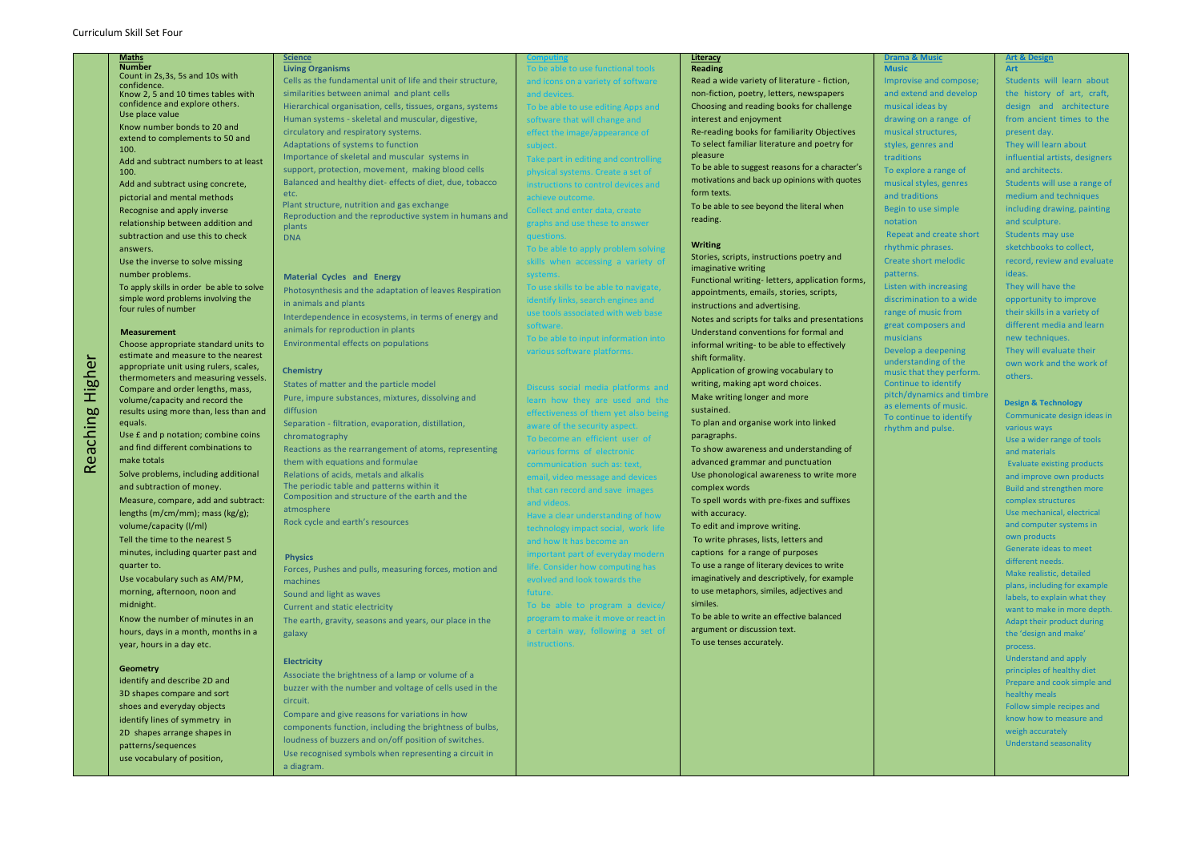# Curriculum Skill Set Four

Reaching Higher

Reaching

 $\tilde{\mathbf{r}}$ 

 $\mathbf{\tilde{e}}$ 

Highe

## **Maths**

**Number** Count in 2s,3s, 5s and 10s with confidence. Know 2, 5 and 10 times tables with confidence and explore others. Use place value

Know number bonds to 20 and extend to complements to 50 and 100.

Add and subtract numbers to at least 100.

Add and subtract using concrete, pictorial and mental methods Recognise and apply inverse relationship between addition and subtraction and use this to check answers.

Use the inverse to solve missing number problems.

To apply skills in order be able to solve simple word problems involving the four rules of number

#### **Measurement**

Choose appropriate standard units to estimate and measure to the nearest appropriate unit using rulers, scales, thermometers and measuring vessels. Compare and order lengths, mass, volume/capacity and record the results using more than, less than and equals.

Use £ and p notation; combine coins and find different combinations to make totals

Solve problems, including additional and subtraction of money.

Measure, compare, add and subtract: lengths (m/cm/mm); mass (kg/g); volume/capacity (l/ml) Tell the time to the nearest 5

minutes, including quarter past and quarter to.

Use vocabulary such as AM/PM, morning, afternoon, noon and midnight.

Know the number of minutes in an hours, days in a month, months in a year, hours in a day etc.

#### **Geometry**

identify and describe 2D and 3D shapes compare and sort shoes and everyday objects identify lines of symmetry in 2D shapes arrange shapes in patterns/sequences use vocabulary of position,

#### **Science Living Organisms**

Cells as the fundamental unit of life and their structure, similarities between animal and plant cells Hierarchical organisation, cells, tissues, organs, systems Human systems - skeletal and muscular, digestive, circulatory and respiratory systems. Adaptations of systems to function Importance of skeletal and muscular systems in support, protection, movement, making blood cells Balanced and healthy diet- effects of diet, due, tobacco etc.

> To be able to input information into arious software platforms

 Plant structure, nutrition and gas exchange Reproduction and the reproductive system in humans and plants DNA

#### **Material Cycles and Energy**

Photosynthesis and the adaptation of leaves Respiration in animals and plants Interdependence in ecosystems, in terms of energy and animals for reproduction in plants Environmental effects on populations

#### **Chemistry**

States of matter and the particle model Pure, impure substances, mixtures, dissolving and diffusion Separation - filtration, evaporation, distillation, chromatography Reactions as the rearrangement of atoms, representing them with equations and formulae Relations of acids, metals and alkalis The periodic table and patterns within it Composition and structure of the earth and the atmosphere Rock cycle and earth's resources

#### **Physics**

Forces, Pushes and pulls, measuring forces, motion and machines Sound and light as waves

Current and static electricity

The earth, gravity, seasons and years, our place in the galaxy

#### **Electricity**

Associate the brightness of a lamp or volume of a buzzer with the number and voltage of cells used in the circuit.

Compare and give reasons for variations in how components function, including the brightness of bulbs, loudness of buzzers and on/off position of switches. Use recognised symbols when representing a circuit in a diagram.

# **Computing** ple to use functional tools and icons on a variety of software and devices.

To be able to use editing Apps and software that will change and effect the image/appearance of subject.

Take part in editing and controlling physical systems. Create a set of instructions to control devices and achieve outcome.

Collect and enter data, create graphs and use these to answer questions.

To be able to apply problem solving skills when accessing a variety of systems.

To use skills to be able to navigate, dentify links, search engines and use tools associated with web base software.

Discuss social media platforms and learn how they are used and the ffectiveness of them yet also being aware of the security aspect. To become an efficient user of various forms of electronic communication such as: text, email, video message and devices that can record and save images and videos.

Have a clear understanding of how technology impact social, work life and how It has become an mportant part of everyday modern life. Consider how computing has evolved and look towards the future.

To be able to program a device/ program to make it move or react in a certain way, following a set of instructions.

#### **Literacy Reading**

Read a wide variety of literature - fiction, non-fiction, poetry, letters, newspapers Choosing and reading books for challenge interest and enjoyment

Re-reading books for familiarity Objectives To select familiar literature and poetry for pleasure

To be able to suggest reasons for a character's motivations and back up opinions with quotes form texts.

To be able to see beyond the literal when reading.

### **Writing**

Stories, scripts, instructions poetry and imaginative writing Functional writing- letters, application forms,

appointments, emails, stories, scripts, instructions and advertising.

Notes and scripts for talks and presentations Understand conventions for formal and informal writing- to be able to effectively shift formality.

Application of growing vocabulary to writing, making apt word choices. Make writing longer and more sustained.

To plan and organise work into linked paragraphs.

To show awareness and understanding of advanced grammar and punctuation Use phonological awareness to write more complex words

To spell words with pre-fixes and suffixes with accuracy.

To edit and improve writing. To write phrases, lists, letters and

captions for a range of purposes To use a range of literary devices to write imaginatively and descriptively, for example to use metaphors, similes, adjectives and similes.

To be able to write an effective balanced argument or discussion text. To use tenses accurately.

#### **Drama & Music**

**Music**

Improvise and compose; and extend and develop musical ideas by drawing on a range of musical structures, styles, genres and traditions To explore a range of musical styles, genres and traditions Begin to use simple notation Repeat and create short rhythmic phrases. Create short melodic patterns. Listen with increasing discrimination to a wide range of music from great composers and musicians Develop a deepening understanding of the music that they perform.

Continue to identify pitch/dynamics and timbre as elements of music. To continue to identify rhythm and pulse.

# **Art & Design**

**Art**

Students will learn about the history of art, craft, design and architecture from ancient times to the present day. They will learn about influential artists, designers and architects. Students will use a range of medium and techniques including drawing, painting and sculpture. Students may use sketchbooks to collect, record, review and evaluate ideas. They will have the opportunity to improve their skills in a variety of different media and learn new techniques. They will evaluate their own work and the work of others.

### **Design & Technology**

Communicate design ideas in various ways Use a wider range of tools and materials Evaluate existing products and improve own products Build and strengthen more complex structures Use mechanical, electrical and computer systems in own products Generate ideas to meet different needs. Make realistic, detailed plans, including for example labels, to explain what they want to make in more depth. Adapt their product during the 'design and make' process. Understand and apply principles of healthy diet Prepare and cook simple and healthy meals Follow simple recipes and know how to measure and weigh accurately Understand seasonality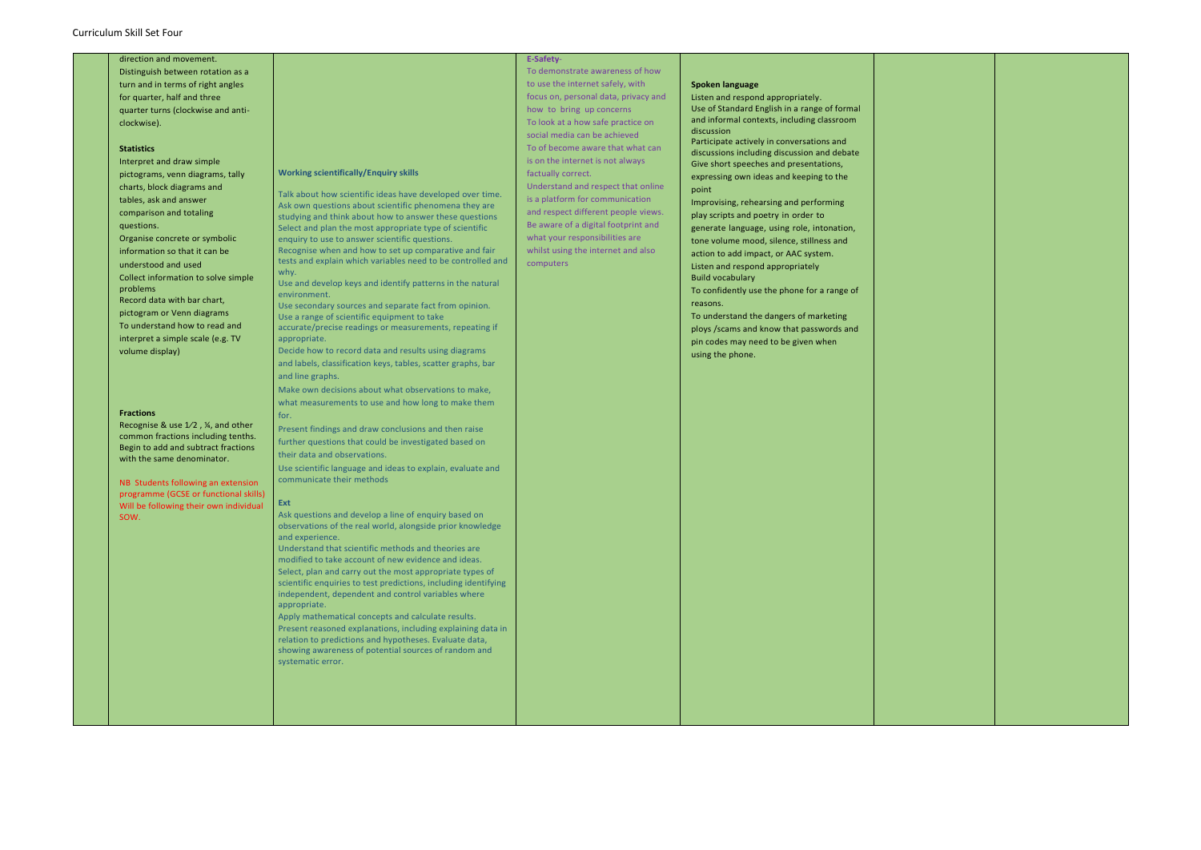direction and movement. Distinguish between rotation as a turn and in terms of right angles for quarter, half and three quarter turns (clockwise and anticlockwise).

# **Statistics**

Interpret and draw simple pictograms, venn diagrams, tally charts, block diagrams and tables, ask and answer comparison and totaling questions. Organise concrete or symbolic information so that it can be understood and used Collect information to solve simple problems Record data with bar chart, pictogram or Venn diagrams To understand how to read and interpret a simple scale (e.g. TV volume display)

#### **Fractions**

Use secondary sources and separate fact from opinion. Use a range of scientific equipment to take

Recognise & use 1⁄2 , ¼, and other common fractions including tenths. Begin to add and subtract fractions with the same denominator.

NB Students following an extension programme (GCSE or functional skills) Will be following their own individual SOW.

### **Working scientifically/Enquiry skills**

Talk about how scientific ideas have developed over time. Ask own questions about scientific phenomena they are studying and think about how to answer these questions Select and plan the most appropriate type of scientific enquiry to use to answer scientific questions. Recognise when and how to set up comparative and fair

tests and explain which variables need to be controlled and why.

Use and develop keys and identify patterns in the natural environment.

accurate/precise readings or measurements, repeating if appropriate.

Decide how to record data and results using diagrams and labels, classification keys, tables, scatter graphs, bar and line graphs.

Make own decisions about what observations to make, what measurements to use and how long to make them for.

Present findings and draw conclusions and then raise further questions that could be investigated based on their data and observations.

Use scientific language and ideas to explain, evaluate and communicate their methods

#### **Ext**

Ask questions and develop a line of enquiry based on observations of the real world, alongside prior knowledge and experience.

Understand that scientific methods and theories are modified to take account of new evidence and ideas. Select, plan and carry out the most appropriate types of scientific enquiries to test predictions, including identifying independent, dependent and control variables where appropriate.

Apply mathematical concepts and calculate results. Present reasoned explanations, including explaining data in relation to predictions and hypotheses. Evaluate data, showing awareness of potential sources of random and systematic error.

# **E-Safety**-

To demonstrate awareness of how to use the internet safely, with focus on, personal data, privacy and how to bring up concerns To look at a how safe practice on social media can be achieved To of become aware that what can is on the internet is not always factually correct. Understand and respect that online is a platform for communication and respect different people views. Be aware of a digital footprint and what your responsibilities are whilst using the internet and also computers

### **Spoken language**

Listen and respond appropriately. Use of Standard English in a range of formal and informal contexts, including classroom discussion

Participate actively in conversations and discussions including discussion and debate Give short speeches and presentations, expressing own ideas and keeping to the point

Improvising, rehearsing and performing play scripts and poetry in order to generate language, using role, intonation, tone volume mood, silence, stillness and action to add impact, or AAC system. Listen and respond appropriately Build vocabulary

To confidently use the phone for a range of reasons.

To understand the dangers of marketing ploys /scams and know that passwords and pin codes may need to be given when using the phone.